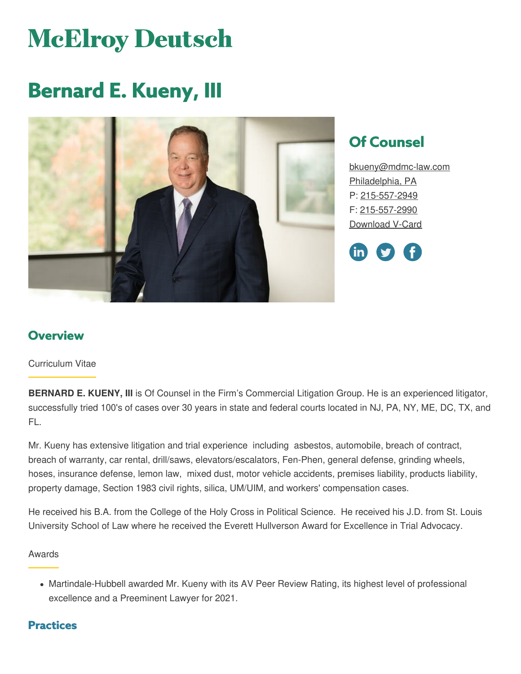# **McElroy Deutsch**

## **Bernard E. Kueny, III**



## **Of Counsel**

[bkueny@mdmc-law.com](mailto:bkueny@mdmc-law.com) [Philadelphia,](https://www.mdmc-law.com/offices/philadelphia) PA P: [215-557-2949](tel:215-557-2949) F: [215-557-2990](tel:215-557-2990) [Download](https://www.mdmc-law.com/node/2265/vcard) V-Card



#### **Overview**

#### Curriculum Vitae

**BERNARD E. KUENY, III** is Of Counsel in the Firm's Commercial Litigation Group. He is an experienced litigator, successfully tried 100's of cases over 30 years in state and federal courts located in NJ, PA, NY, ME, DC, TX, and FL.

Mr. Kueny has extensive litigation and trial experience including asbestos, automobile, breach of contract, breach of warranty, car rental, drill/saws, elevators/escalators, Fen-Phen, general defense, grinding wheels, hoses, insurance defense, lemon law, mixed dust, motor vehicle accidents, premises liability, products liability, property damage, Section 1983 civil rights, silica, UM/UIM, and workers' compensation cases.

He received his B.A. from the College of the Holy Cross in Political Science. He received his J.D. from St. Louis University School of Law where he received the Everett Hullverson Award for Excellence in Trial Advocacy.

#### Awards

Martindale-Hubbell awarded Mr. Kueny with its AV Peer Review Rating, its highest level of professional excellence and a Preeminent Lawyer for 2021.

#### **Practices**